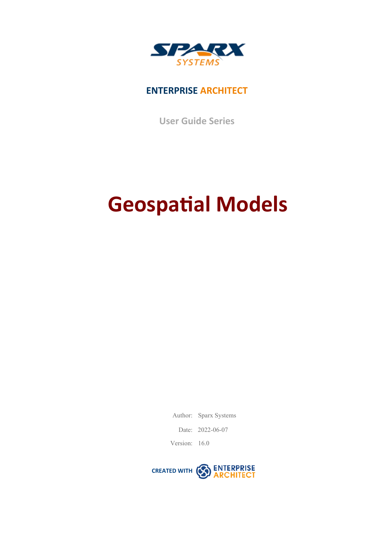

### **ENTERPRISE ARCHITECT**

**User Guide Series**

# **Geospatial Models**

Author: Sparx Systems

Date: 2022-06-07

Version: 16.0

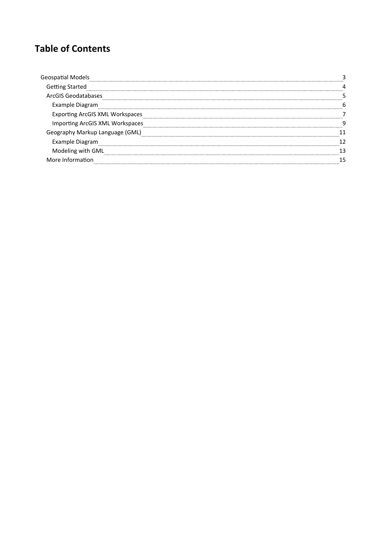### **Table of Contents**

| າຂ Startec                      |  |
|---------------------------------|--|
| ArcGIS Geodatabases             |  |
| Example Diagram                 |  |
| ting ArcGIS XML Workspaces:     |  |
| Importing ArcGIS XML Workspaces |  |
| nguage (GML                     |  |
| ple Diagram                     |  |
| Modeling with GML               |  |
|                                 |  |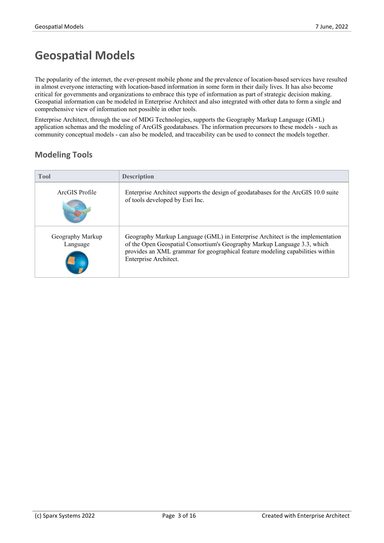# **Geospatial Models**

The popularity of the internet, the ever-present mobile phone and the prevalence of location-based services have resulted in almost everyone interacting with location-based information in some form in their daily lives. It has also become critical for governments and organizations to embrace this type of information as part of strategic decision making. Geospatial information can be modeled in Enterprise Architect and also integrated with other data to form a single and

comprehensive view of information not possible in other tools.<br>Enterprise Architect, through the use of MDG Technologies, supports the Geography Markup Language (GML) application schemas and the modeling of ArcGIS geodatabases.The information precursors to these models - such as community conceptual models - can also be modeled, and traceability can be used to connect the models together.

### **Modeling Tools**

| <b>Tool</b>                  | <b>Description</b>                                                                                                                                                                                                                                                  |
|------------------------------|---------------------------------------------------------------------------------------------------------------------------------------------------------------------------------------------------------------------------------------------------------------------|
| ArcGIS Profile               | Enterprise Architect supports the design of geodatabases for the ArcGIS 10.0 suite<br>of tools developed by Esri Inc.                                                                                                                                               |
| Geography Markup<br>Language | Geography Markup Language (GML) in Enterprise Architect is the implementation<br>of the Open Geospatial Consortium's Geography Markup Language 3.3, which<br>provides an XML grammar for geographical feature modeling capabilities within<br>Enterprise Architect. |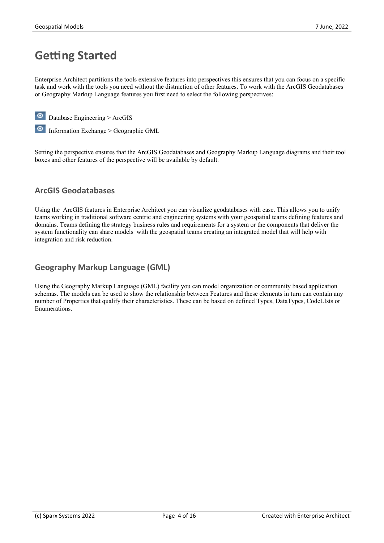### **Getting Started**

Enterprise Architect partitions the tools extensive features into perspectives this ensures that you can focus on a specific task and work with the tools you need without the distraction of other features. To work with the ArcGIS Geodatabases or Geography Markup Language features you first need to select the following perspectives:

Database Engineering > ArcGIS



Setting the perspective ensures that the ArcGIS Geodatabases and Geography Markup Language diagrams and their tool boxes and other features of the perspective will be available by default.

### **ArcGIS Geodatabases**

Using the ArcGIS features in Enterprise Architect you can visualize geodatabases with ease. This allows you to unify teams working in traditional software centric and engineering systems with your geospatial teams defining features and domains. Teams defining the strategy business rules and requirements for a system or the components that deliver the system functionality can share models with the geospatial teams creating an integrated model that will help with integration and risk reduction.

### **Geography Markup Language (GML)**

Using the Geography Markup Language (GML) facility you can model organization or community based application schemas. The models can be used to show the relationship between Features and these elements in turn can contain any number of Properties that qualify their characteristics. These can be based on defined Types, DataTypes, CodeLIsts or Enumerations.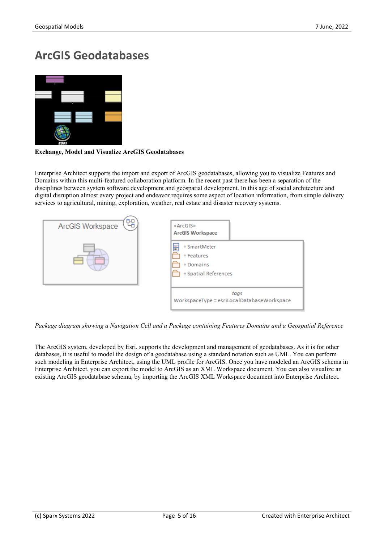### **ArcGIS Geodatabases**



#### **Exchange, Model and Visualize ArcGIS Geodatabases**

Enterprise Architect supports the import and export of ArcGIS geodatabases, allowing you to visualize Features and Domains within this multi-featured collaboration platform. In the recent past there has been a separation of the disciplines between system software development and geospatial development. In this age of social architecture and digital disruption almost every project and endeavor requires some aspect of location information, from simple delivery services to agricultural, mining, exploration, weather, real estate and disaster recovery systems.



*Package diagram showing a Navigation Cell and a Package containing Features Domains and a Geospatial Reference*

The ArcGIS system, developed by Esri, supports the development and management of geodatabases. As it is for other databases, it is useful to model the design of a geodatabase using a standard notation such as UML. You can perform such modeling in Enterprise Architect, using the UML profile for ArcGIS. Once you have modeled an ArcGIS schema in Enterprise Architect, you can export the model to ArcGIS as an XML Workspace document. You can also visualize an existing ArcGIS geodatabase schema, by importing the ArcGIS XML Workspace document into Enterprise Architect.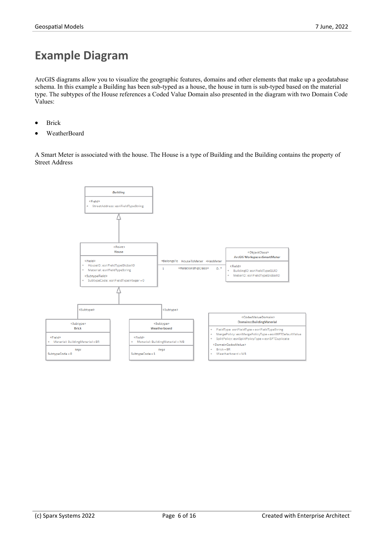# **Example Diagram**

ArcGIS diagrams allow you to visualize the geographic features, domains and other elements that make up a geodatabase schema. In this example a Building has been sub-typed as a house, the house in turn is sub-typed based on the material type. The subtypes ofthe House references a Coded Value Domain also presented in the diagram with two Domain Code Values:

- **Brick**
- WeatherBoard

A Smart Meter is associated with the house. The House is a type of Building and the Building contains the property of Street Address

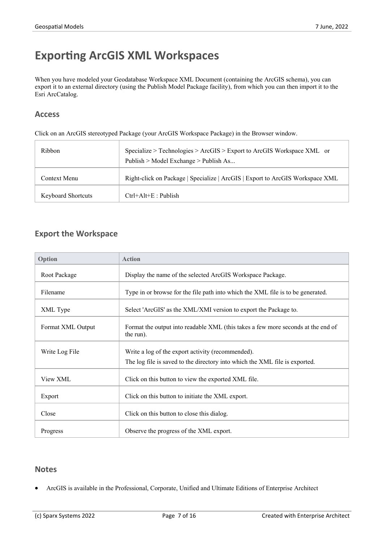# **Exporting ArcGIS XML Workspaces**

When you have modeled your Geodatabase Workspace XML Document (containing the ArcGIS schema), you can export it to an external directory (using the Publish Model Package facility), from which you can then import it to the Esri ArcCatalog.

#### **Access**

Click on an ArcGIS stereotyped Package (your ArcGIS Workspace Package) in the Browser window.

| Ribbon                    | Specialize > Technologies > ArcGIS > Export to ArcGIS Workspace XML or<br>Publish > Model Exchange > Publish As |
|---------------------------|-----------------------------------------------------------------------------------------------------------------|
| Context Menu              | Right-click on Package   Specialize   ArcGIS   Export to ArcGIS Workspace XML                                   |
| <b>Keyboard Shortcuts</b> | $Ctrl+Alt+E$ : Publish                                                                                          |

### **Export the Workspace**

| Option            | <b>Action</b>                                                                                                                    |
|-------------------|----------------------------------------------------------------------------------------------------------------------------------|
| Root Package      | Display the name of the selected ArcGIS Workspace Package.                                                                       |
| Filename          | Type in or browse for the file path into which the XML file is to be generated.                                                  |
| XML Type          | Select 'ArcGIS' as the XML/XMI version to export the Package to.                                                                 |
| Format XML Output | Format the output into readable XML (this takes a few more seconds at the end of<br>the run).                                    |
| Write Log File    | Write a log of the export activity (recommended).<br>The log file is saved to the directory into which the XML file is exported. |
| View XML          | Click on this button to view the exported XML file.                                                                              |
| Export            | Click on this button to initiate the XML export.                                                                                 |
| Close             | Click on this button to close this dialog.                                                                                       |
| Progress          | Observe the progress of the XML export.                                                                                          |

#### **Notes**

ArcGIS is available in the Professional, Corporate, Unified and Ultimate Editions of Enterprise Architect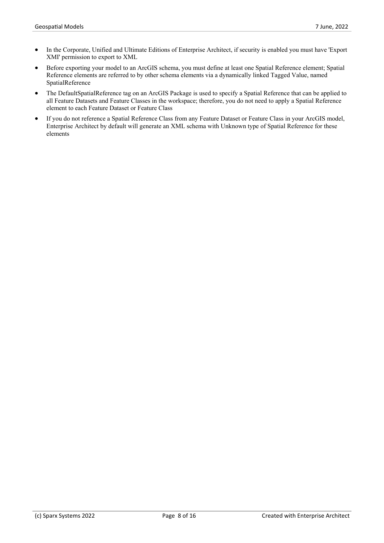- In the Corporate, Unified and Ultimate Editions of Enterprise Architect, if security is enabled you must have 'Export XMI' permission to export to XML
- Before exporting your model to an ArcGIS schema, you must define at least one Spatial Reference element; Spatial Reference elements are referred to by other schema elements via a dynamically linked Tagged Value, named SpatialReference
- The DefaultSpatialReference tag on an ArcGIS Package is used to specify a Spatial Reference that can be applied to all Feature Datasets and Feature Classes in the workspace; therefore, you do not need to apply a Spatial Reference element to each Feature Dataset or Feature Class
- · If you do not reference a Spatial Reference Class from any Feature Dataset or Feature Class in your ArcGIS model, Enterprise Architect by default will generate an XML schema with Unknown type of Spatial Reference for these elements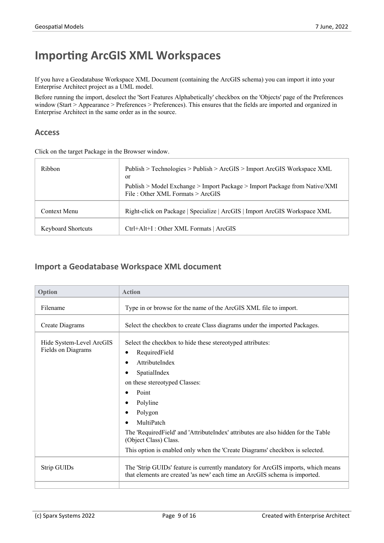# **Importing ArcGIS XML Workspaces**

If you have a Geodatabase Workspace XML Document (containing the ArcGIS schema) you can import it into your Enterprise Architect project as a UML model.

Before running the import, deselect the 'Sort Features Alphabetically' checkbox on the 'Objects' page of the Preferences window (Start > Appearance > Preferences > Preferences). This ensures that the fields are imported and organized in Enterprise Architect in the same order as in the source.

#### **Access**

Click on the target Package in the Browser window.

| Ribbon                    | Publish > Technologies > Publish > ArcGIS > Import ArcGIS Workspace XML<br>or                                    |
|---------------------------|------------------------------------------------------------------------------------------------------------------|
|                           | Publish > Model Exchange > Import Package > Import Package from Native/XMI<br>File: Other XML Formats $>$ ArcGIS |
| Context Menu              | Right-click on Package   Specialize   ArcGIS   Import ArcGIS Workspace XML                                       |
| <b>Keyboard Shortcuts</b> | Ctrl+Alt+I : Other XML Formats   ArcGIS                                                                          |

### **Import a Geodatabase Workspace XML document**

| Option                                         | <b>Action</b>                                                                                                                                                                                                                                                                                                                                                                                                                                                          |
|------------------------------------------------|------------------------------------------------------------------------------------------------------------------------------------------------------------------------------------------------------------------------------------------------------------------------------------------------------------------------------------------------------------------------------------------------------------------------------------------------------------------------|
| Filename                                       | Type in or browse for the name of the ArcGIS XML file to import.                                                                                                                                                                                                                                                                                                                                                                                                       |
| <b>Create Diagrams</b>                         | Select the checkbox to create Class diagrams under the imported Packages.                                                                                                                                                                                                                                                                                                                                                                                              |
| Hide System-Level ArcGIS<br>Fields on Diagrams | Select the checkbox to hide these stereotyped attributes:<br>RequiredField<br>$\bullet$<br>AttributeIndex<br>$\bullet$<br>SpatialIndex<br>٠<br>on these stereotyped Classes:<br>Point<br>$\bullet$<br>Polyline<br>$\bullet$<br>Polygon<br>٠<br>MultiPatch<br>$\bullet$<br>The 'Required Field' and 'Attribute Index' attributes are also hidden for the Table<br>(Object Class) Class.<br>This option is enabled only when the 'Create Diagrams' checkbox is selected. |
| Strip GUIDs                                    | The 'Strip GUIDs' feature is currently mandatory for ArcGIS imports, which means<br>that elements are created 'as new' each time an ArcGIS schema is imported.                                                                                                                                                                                                                                                                                                         |
|                                                |                                                                                                                                                                                                                                                                                                                                                                                                                                                                        |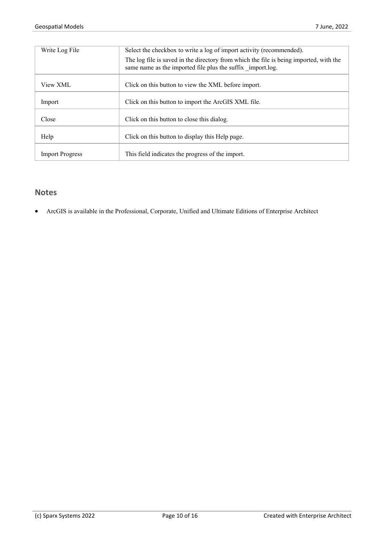| Write Log File         | Select the checkbox to write a log of import activity (recommended).                                                                                 |
|------------------------|------------------------------------------------------------------------------------------------------------------------------------------------------|
|                        | The log file is saved in the directory from which the file is being imported, with the<br>same name as the imported file plus the suffix import.log. |
| View XML               | Click on this button to view the XML before import.                                                                                                  |
| Import                 | Click on this button to import the ArcGIS XML file.                                                                                                  |
| Close                  | Click on this button to close this dialog.                                                                                                           |
| Help                   | Click on this button to display this Help page.                                                                                                      |
| <b>Import Progress</b> | This field indicates the progress of the import.                                                                                                     |

### **Notes**

• ArcGIS is available in the Professional, Corporate, Unified and Ultimate Editions of Enterprise Architect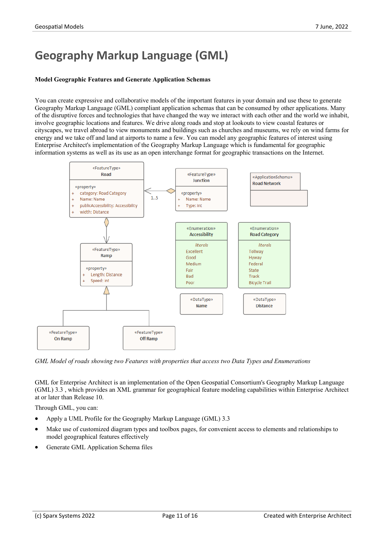# **Geography Markup Language (GML)**

#### **Model Geographic Features and Generate Application Schemas**

You can create expressive and collaborative models of the important features in your domain and use these to generate Geography Markup Language (GML) compliant application schemas that can be consumed by other applications. Many of the disruptive forces and technologies that have changed the way we interact with each other and the world we inhabit, involve geographic locations and features. We drive along roads and stop at lookouts to view coastal features or cityscapes, we travel abroad to view monuments and buildings such as churches and museums, we rely on wind farms for energy and we take off and land at airports to name a few. You can model any geographic features of interest using Enterprise Architect's implementation of the Geography Markup Language which is fundamental for geographic information systems as well as its use asan open interchange format for geographic transactions on the Internet.



*GML Model of roads showing two Features with properties that access two Data Types and Enumerations*

GML for Enterprise Architect is an implementation of the Open Geospatial Consortium's Geography Markup Language (GML) 3.3 , which provides an XML grammar for geographical feature modeling capabilities within Enterprise Architect at or later than Release 10.

Through GML, you can:

- · Apply a UML Profile for the Geography Markup Language (GML) 3.3
- Make use of customized diagram types and toolbox pages, for convenient access to elements and relationships to model geographical features effectively
- Generate GML Application Schema files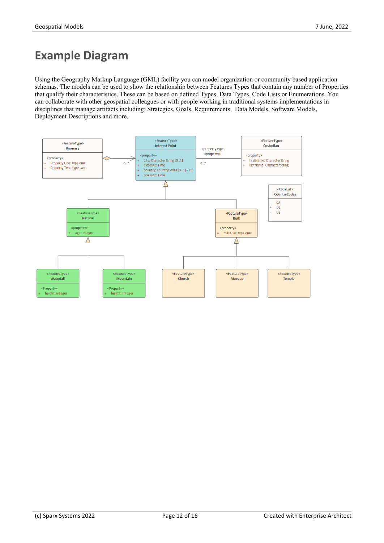# **Example Diagram**

Using the Geography Markup Language (GML) facility you can model organization or community based application schemas. The models can be used to show the relationship between Features Types that contain any number of Properties that qualify their characteristics. These can be based on defined Types, Data Types, Code Lists or Enumerations. You can collaborate with other geospatial colleagues orwith people working in traditional systems implementations in disciplines that manage artifacts including: Strategies, Goals, Requirements, Data Models, Software Models, Deployment Descriptions and more.

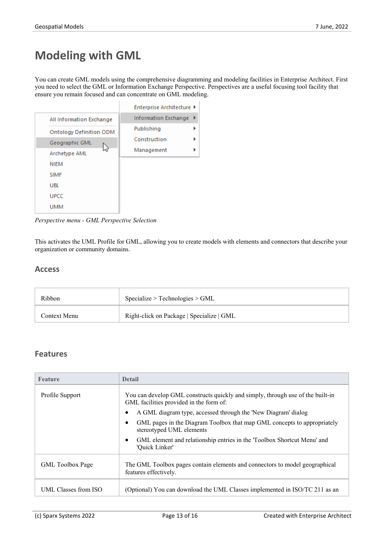# **Modeling with GML**

You can create GML models using the comprehensive diagramming and modeling facilities in Enterprise Architect. First you need to select the GML or Information Exchange Perspective. Perspectives are a useful focusing tool facility that ensure you remain focused and can concentrate on GML modeling.

![](_page_12_Picture_4.jpeg)

*Perspective menu - GML Perspective Selection*

This activates the UML Profile for GML, allowing you to create models with elements and connectors that describe your organization or community domains.

#### **Access**

| Ribbon       | Specialize > Technologies > GML           |
|--------------|-------------------------------------------|
| Context Menu | Right-click on Package   Specialize   GML |

#### **Features**

| <b>Feature</b>          | <b>Detail</b>                                                                                                             |
|-------------------------|---------------------------------------------------------------------------------------------------------------------------|
| Profile Support         | You can develop GML constructs quickly and simply, through use of the built-in<br>GML facilities provided in the form of: |
|                         | A GML diagram type, accessed through the 'New Diagram' dialog                                                             |
|                         | GML pages in the Diagram Toolbox that map GML concepts to appropriately<br>stereotyped UML elements                       |
|                         | GML element and relationship entries in the 'Toolbox Shortcut Menu' and<br>'Quick Linker'                                 |
| <b>GML</b> Toolbox Page | The GML Toolbox pages contain elements and connectors to model geographical<br>features effectively.                      |
| UML Classes from ISO    | (Optional) You can download the UML Classes implemented in ISO/TC 211 as an                                               |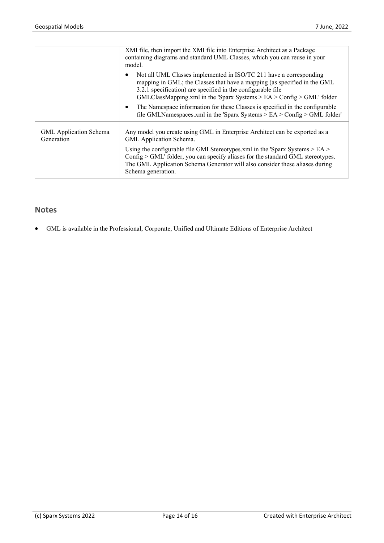|                                             | XMI file, then import the XMI file into Enterprise Architect as a Package<br>containing diagrams and standard UML Classes, which you can reuse in your<br>model.                                                                                                                            |
|---------------------------------------------|---------------------------------------------------------------------------------------------------------------------------------------------------------------------------------------------------------------------------------------------------------------------------------------------|
|                                             | Not all UML Classes implemented in ISO/TC 211 have a corresponding<br>mapping in GML; the Classes that have a mapping (as specified in the GML<br>3.2.1 specification) are specified in the configurable file<br>$GMLClassMapping.xml$ in the 'Sparx Systems > EA > Config > $GML$ ' folder |
|                                             | The Namespace information for these Classes is specified in the configurable<br>$\bullet$<br>file GMLNamespaces.xml in the 'Sparx Systems $>$ EA $>$ Config $>$ GML folder'                                                                                                                 |
| <b>GML</b> Application Schema<br>Generation | Any model you create using GML in Enterprise Architect can be exported as a<br>GML Application Schema.                                                                                                                                                                                      |
|                                             | Using the configurable file GMLStereotypes.xml in the 'Sparx Systems $>$ EA $>$<br>Config > GML' folder, you can specify aliases for the standard GML stereotypes.<br>The GML Application Schema Generator will also consider these aliases during<br>Schema generation.                    |

### **Notes**

• GML is available in the Professional, Corporate, Unified and Ultimate Editions of Enterprise Architect